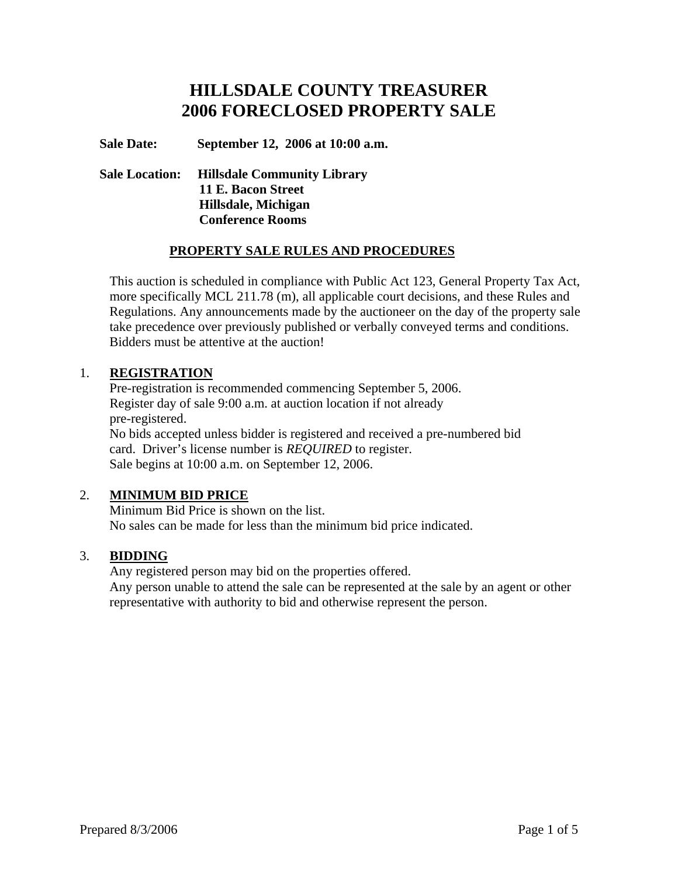# **HILLSDALE COUNTY TREASURER 2006 FORECLOSED PROPERTY SALE**

**Sale Date: September 12, 2006 at 10:00 a.m.** 

# **Sale Location: Hillsdale Community Library 11 E. Bacon Street Hillsdale, Michigan Conference Rooms**

## **PROPERTY SALE RULES AND PROCEDURES**

This auction is scheduled in compliance with Public Act 123, General Property Tax Act, more specifically MCL 211.78 (m), all applicable court decisions, and these Rules and Regulations. Any announcements made by the auctioneer on the day of the property sale take precedence over previously published or verbally conveyed terms and conditions. Bidders must be attentive at the auction!

#### 1. **REGISTRATION**

 Pre-registration is recommended commencing September 5, 2006. Register day of sale 9:00 a.m. at auction location if not already pre-registered. No bids accepted unless bidder is registered and received a pre-numbered bid card. Driver's license number is *REQUIRED* to register. Sale begins at 10:00 a.m. on September 12, 2006.

## 2. **MINIMUM BID PRICE**

 Minimum Bid Price is shown on the list. No sales can be made for less than the minimum bid price indicated.

## 3. **BIDDING**

 Any registered person may bid on the properties offered. Any person unable to attend the sale can be represented at the sale by an agent or other representative with authority to bid and otherwise represent the person.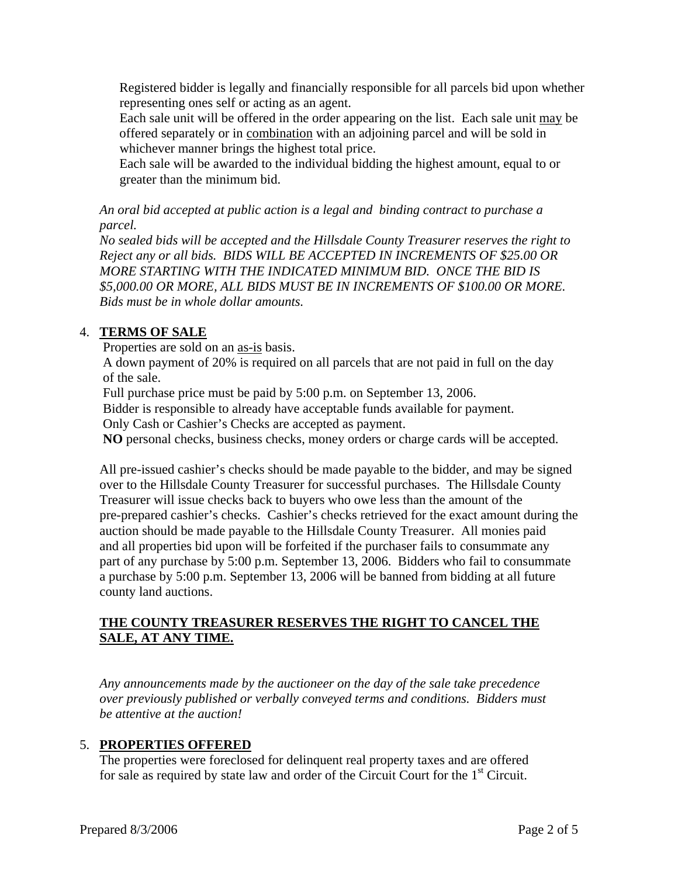Registered bidder is legally and financially responsible for all parcels bid upon whether representing ones self or acting as an agent.

 Each sale unit will be offered in the order appearing on the list. Each sale unit may be offered separately or in combination with an adjoining parcel and will be sold in whichever manner brings the highest total price.

 Each sale will be awarded to the individual bidding the highest amount, equal to or greater than the minimum bid.

*An oral bid accepted at public action is a legal and binding contract to purchase a parcel.* 

*No sealed bids will be accepted and the Hillsdale County Treasurer reserves the right to Reject any or all bids. BIDS WILL BE ACCEPTED IN INCREMENTS OF \$25.00 OR MORE STARTING WITH THE INDICATED MINIMUM BID. ONCE THE BID IS \$5,000.00 OR MORE, ALL BIDS MUST BE IN INCREMENTS OF \$100.00 OR MORE. Bids must be in whole dollar amounts.*

# 4. **TERMS OF SALE**

Properties are sold on an as-is basis.

 A down payment of 20% is required on all parcels that are not paid in full on the day of the sale.

Full purchase price must be paid by 5:00 p.m. on September 13, 2006.

Bidder is responsible to already have acceptable funds available for payment.

Only Cash or Cashier's Checks are accepted as payment.

**NO** personal checks, business checks, money orders or charge cards will be accepted.

All pre-issued cashier's checks should be made payable to the bidder, and may be signed over to the Hillsdale County Treasurer for successful purchases. The Hillsdale County Treasurer will issue checks back to buyers who owe less than the amount of the pre-prepared cashier's checks. Cashier's checks retrieved for the exact amount during the auction should be made payable to the Hillsdale County Treasurer. All monies paid and all properties bid upon will be forfeited if the purchaser fails to consummate any part of any purchase by 5:00 p.m. September 13, 2006. Bidders who fail to consummate a purchase by 5:00 p.m. September 13, 2006 will be banned from bidding at all future county land auctions.

## **THE COUNTY TREASURER RESERVES THE RIGHT TO CANCEL THE SALE, AT ANY TIME.**

*Any announcements made by the auctioneer on the day of the sale take precedence over previously published or verbally conveyed terms and conditions. Bidders must be attentive at the auction!* 

## 5. **PROPERTIES OFFERED**

 The properties were foreclosed for delinquent real property taxes and are offered for sale as required by state law and order of the Circuit Court for the 1<sup>st</sup> Circuit.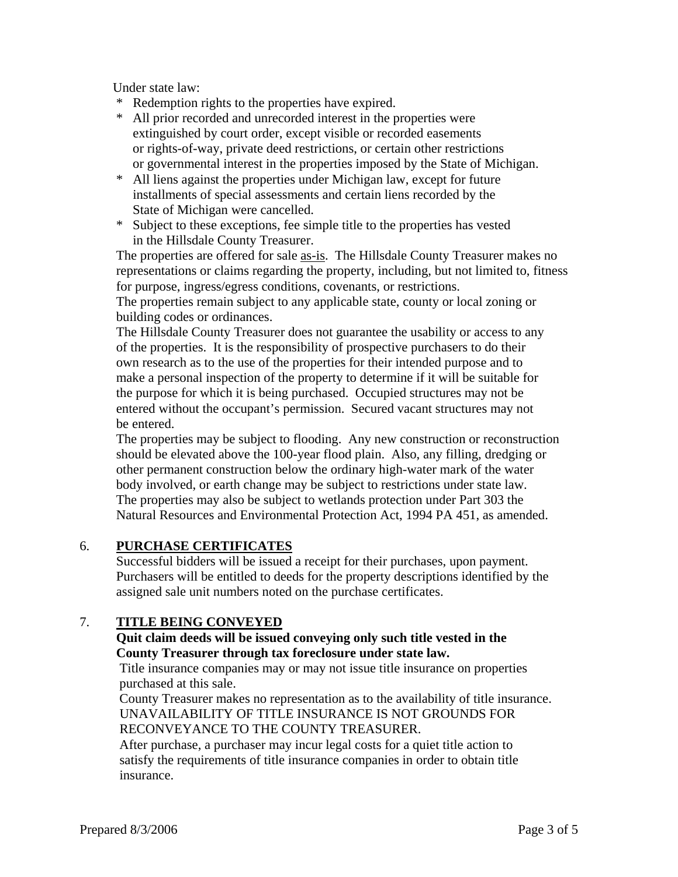Under state law:

- \* Redemption rights to the properties have expired.
- \* All prior recorded and unrecorded interest in the properties were extinguished by court order, except visible or recorded easements or rights-of-way, private deed restrictions, or certain other restrictions or governmental interest in the properties imposed by the State of Michigan.
- \* All liens against the properties under Michigan law, except for future installments of special assessments and certain liens recorded by the State of Michigan were cancelled.
- \* Subject to these exceptions, fee simple title to the properties has vested in the Hillsdale County Treasurer.

The properties are offered for sale as-is. The Hillsdale County Treasurer makes no representations or claims regarding the property, including, but not limited to, fitness for purpose, ingress/egress conditions, covenants, or restrictions.

The properties remain subject to any applicable state, county or local zoning or building codes or ordinances.

The Hillsdale County Treasurer does not guarantee the usability or access to any of the properties. It is the responsibility of prospective purchasers to do their own research as to the use of the properties for their intended purpose and to make a personal inspection of the property to determine if it will be suitable for the purpose for which it is being purchased. Occupied structures may not be entered without the occupant's permission. Secured vacant structures may not be entered.

The properties may be subject to flooding. Any new construction or reconstruction should be elevated above the 100-year flood plain. Also, any filling, dredging or other permanent construction below the ordinary high-water mark of the water body involved, or earth change may be subject to restrictions under state law. The properties may also be subject to wetlands protection under Part 303 the Natural Resources and Environmental Protection Act, 1994 PA 451, as amended.

## 6. **PURCHASE CERTIFICATES**

 Successful bidders will be issued a receipt for their purchases, upon payment. Purchasers will be entitled to deeds for the property descriptions identified by the assigned sale unit numbers noted on the purchase certificates.

## 7. **TITLE BEING CONVEYED**

#### **Quit claim deeds will be issued conveying only such title vested in the County Treasurer through tax foreclosure under state law.**

Title insurance companies may or may not issue title insurance on properties purchased at this sale.

 County Treasurer makes no representation as to the availability of title insurance. UNAVAILABILITY OF TITLE INSURANCE IS NOT GROUNDS FOR RECONVEYANCE TO THE COUNTY TREASURER.

 After purchase, a purchaser may incur legal costs for a quiet title action to satisfy the requirements of title insurance companies in order to obtain title insurance.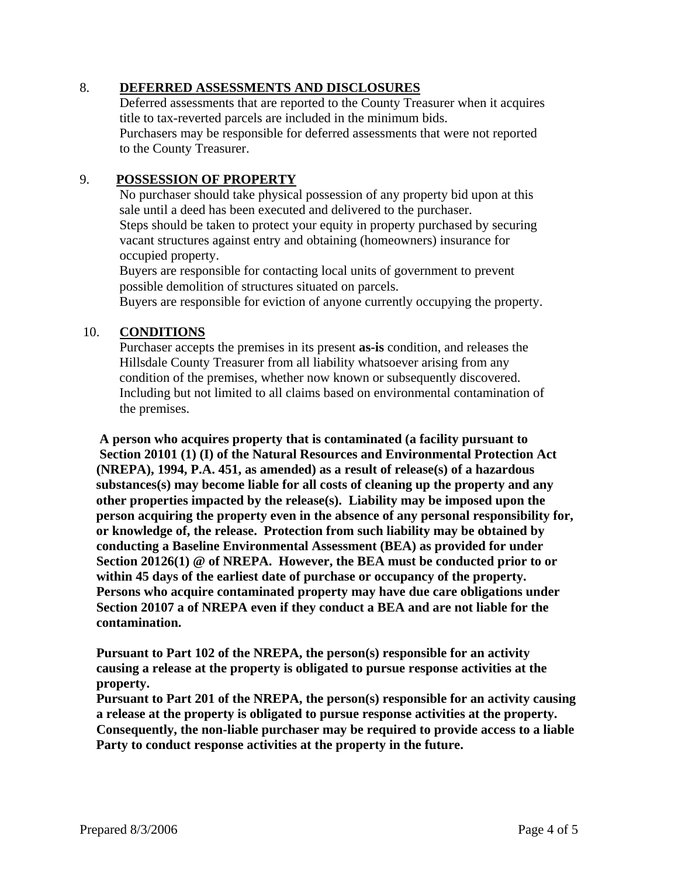#### 8. **DEFERRED ASSESSMENTS AND DISCLOSURES**

 Deferred assessments that are reported to the County Treasurer when it acquires title to tax-reverted parcels are included in the minimum bids. Purchasers may be responsible for deferred assessments that were not reported to the County Treasurer.

#### 9. **POSSESSION OF PROPERTY**

 No purchaser should take physical possession of any property bid upon at this sale until a deed has been executed and delivered to the purchaser. Steps should be taken to protect your equity in property purchased by securing vacant structures against entry and obtaining (homeowners) insurance for occupied property.

 Buyers are responsible for contacting local units of government to prevent possible demolition of structures situated on parcels.

Buyers are responsible for eviction of anyone currently occupying the property.

#### 10. **CONDITIONS**

 Purchaser accepts the premises in its present **as-is** condition, and releases the Hillsdale County Treasurer from all liability whatsoever arising from any condition of the premises, whether now known or subsequently discovered. Including but not limited to all claims based on environmental contamination of the premises.

 **A person who acquires property that is contaminated (a facility pursuant to Section 20101 (1) (I) of the Natural Resources and Environmental Protection Act (NREPA), 1994, P.A. 451, as amended) as a result of release(s) of a hazardous substances(s) may become liable for all costs of cleaning up the property and any other properties impacted by the release(s). Liability may be imposed upon the person acquiring the property even in the absence of any personal responsibility for, or knowledge of, the release. Protection from such liability may be obtained by conducting a Baseline Environmental Assessment (BEA) as provided for under Section 20126(1) @ of NREPA. However, the BEA must be conducted prior to or within 45 days of the earliest date of purchase or occupancy of the property. Persons who acquire contaminated property may have due care obligations under Section 20107 a of NREPA even if they conduct a BEA and are not liable for the contamination.** 

 **Pursuant to Part 102 of the NREPA, the person(s) responsible for an activity causing a release at the property is obligated to pursue response activities at the property.** 

 **Pursuant to Part 201 of the NREPA, the person(s) responsible for an activity causing a release at the property is obligated to pursue response activities at the property. Consequently, the non-liable purchaser may be required to provide access to a liable Party to conduct response activities at the property in the future.**